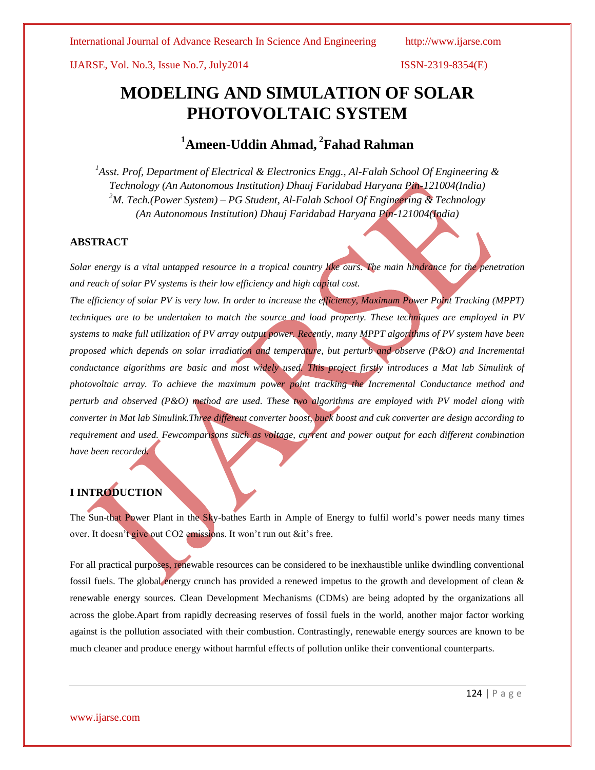IJARSE, Vol. No.3, Issue No.7, July2014 ISSN-2319-8354(E)

# **MODELING AND SIMULATION OF SOLAR PHOTOVOLTAIC SYSTEM**

# **<sup>1</sup>Ameen-Uddin Ahmad, <sup>2</sup> Fahad Rahman**

*<sup>1</sup>Asst. Prof, Department of Electrical & Electronics Engg., Al-Falah School Of Engineering & Technology (An Autonomous Institution) Dhauj Faridabad Haryana Pin-121004(India) <sup>2</sup>M. Tech.(Power System) – PG Student, Al-Falah School Of Engineering & Technology (An Autonomous Institution) Dhauj Faridabad Haryana Pin-121004(India)*

# **ABSTRACT**

*Solar energy is a vital untapped resource in a tropical country like ours. The main hindrance for the penetration and reach of solar PV systems is their low efficiency and high capital cost.* 

*The efficiency of solar PV is very low. In order to increase the efficiency, Maximum Power Point Tracking (MPPT) techniques are to be undertaken to match the source and load property. These techniques are employed in PV systems to make full utilization of PV array output power. Recently, many MPPT algorithms of PV system have been proposed which depends on solar irradiation and temperature, but perturb and observe (P&O) and Incremental conductance algorithms are basic and most widely used. This project firstly introduces a Mat lab Simulink of photovoltaic array. To achieve the maximum power point tracking the Incremental Conductance method and perturb and observed (P&O) method are used. These two algorithms are employed with PV model along with converter in Mat lab Simulink.Three different converter boost, buck boost and cuk converter are design according to requirement and used. Fewcomparisons such as voltage, current and power output for each different combination have been recorded.*

# **I INTRODUCTION**

The Sun-that Power Plant in the Sky-bathes Earth in Ample of Energy to fulfil world's power needs many times over. It doesn't give out CO2 emissions. It won't run out &it's free.

For all practical purposes, renewable resources can be considered to be inexhaustible unlike dwindling conventional fossil fuels. The global energy crunch has provided a renewed impetus to the growth and development of clean & renewable energy sources. Clean Development Mechanisms (CDMs) are being adopted by the organizations all across the globe.Apart from rapidly decreasing reserves of fossil fuels in the world, another major factor working against is the pollution associated with their combustion. Contrastingly, renewable energy sources are known to be much cleaner and produce energy without harmful effects of pollution unlike their conventional counterparts.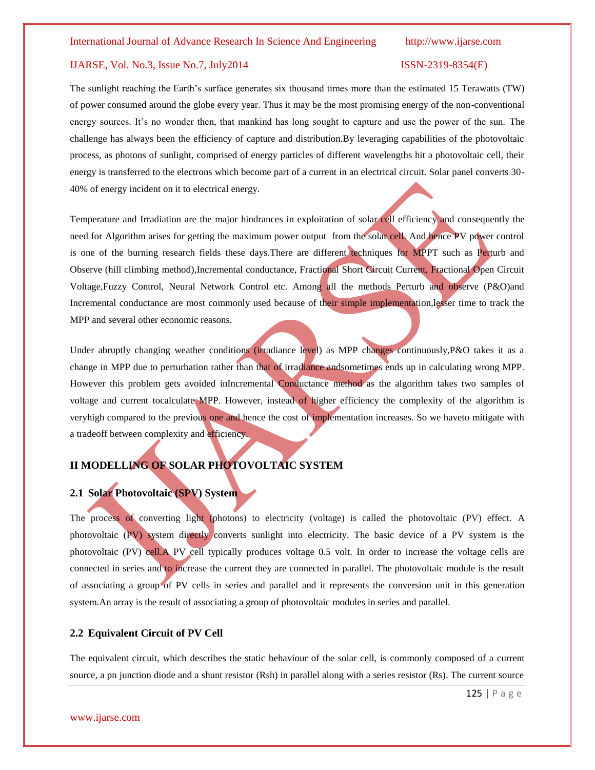## IJARSE, Vol. No.3, Issue No.7, July2014 ISSN-2319-8354(E)

The sunlight reaching the Earth's surface generates six thousand times more than the estimated 15 Terawatts (TW) of power consumed around the globe every year. Thus it may be the most promising energy of the non-conventional energy sources. It's no wonder then, that mankind has long sought to capture and use the power of the sun. The challenge has always been the efficiency of capture and distribution.By leveraging capabilities of the photovoltaic process, as photons of sunlight, comprised of energy particles of different wavelengths hit a photovoltaic cell, their energy is transferred to the electrons which become part of a current in an electrical circuit. Solar panel converts 30- 40% of energy incident on it to electrical energy.

Temperature and Irradiation are the major hindrances in exploitation of solar cell efficiency and consequently the need for Algorithm arises for getting the maximum power output from the solar cell. And hence PV power control is one of the burning research fields these days.There are different techniques for MPPT such as Perturb and Observe (hill climbing method),Incremental conductance, Fractional Short Circuit Current, Fractional Open Circuit Voltage,Fuzzy Control, Neural Network Control etc. Among all the methods Perturb and observe (P&O)and Incremental conductance are most commonly used because of their simple implementation,lesser time to track the MPP and several other economic reasons.

Under abruptly changing weather conditions (irradiance level) as MPP changes continuously, P&O takes it as a change in MPP due to perturbation rather than that of irradiance andsometimes ends up in calculating wrong MPP. However this problem gets avoided inIncremental Conductance method as the algorithm takes two samples of voltage and current tocalculate MPP. However, instead of higher efficiency the complexity of the algorithm is veryhigh compared to the previous one and hence the cost of implementation increases. So we haveto mitigate with a tradeoff between complexity and efficiency.

# **II MODELLING OF SOLAR PHOTOVOLTAIC SYSTEM**

# **2.1 Solar Photovoltaic (SPV) System**

The process of converting light (photons) to electricity (voltage) is called the photovoltaic (PV) effect. A photovoltaic (PV) system directly converts sunlight into electricity. The basic device of a PV system is the photovoltaic (PV) cell.A PV cell typically produces voltage 0.5 volt. In order to increase the voltage cells are connected in series and to increase the current they are connected in parallel. The photovoltaic module is the result of associating a group of PV cells in series and parallel and it represents the conversion unit in this generation system.An array is the result of associating a group of photovoltaic modules in series and parallel.

#### **2.2 Equivalent Circuit of PV Cell**

The equivalent circuit, which describes the static behaviour of the solar cell, is commonly composed of a current source, a pn junction diode and a shunt resistor (Rsh) in parallel along with a series resistor (Rs). The current source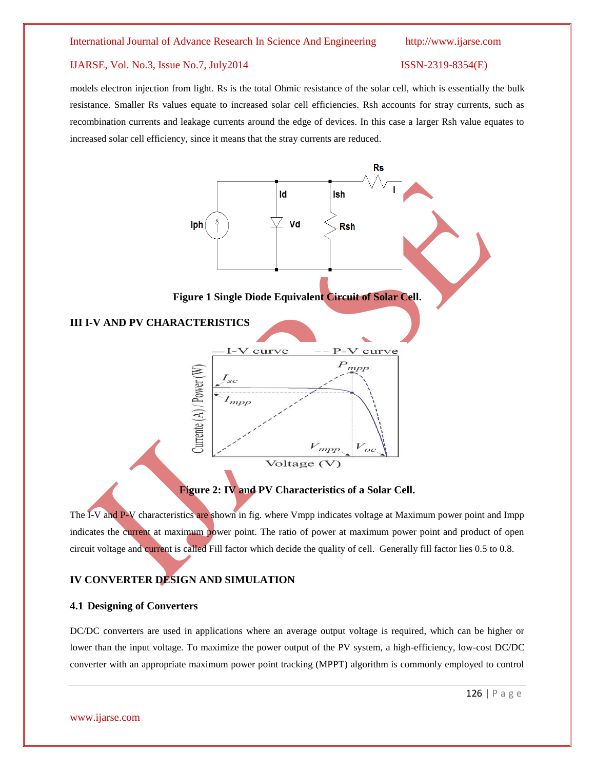### IJARSE, Vol. No.3, Issue No.7, July2014 ISSN-2319-8354(E)

models electron injection from light. Rs is the total Ohmic resistance of the solar cell, which is essentially the bulk resistance. Smaller Rs values equate to increased solar cell efficiencies. Rsh accounts for stray currents, such as recombination currents and leakage currents around the edge of devices. In this case a larger Rsh value equates to increased solar cell efficiency, since it means that the stray currents are reduced.



**Figure 2: IV and PV Characteristics of a Solar Cell.**

The I-V and P-V characteristics are shown in fig. where Vmpp indicates voltage at Maximum power point and Impp indicates the current at maximum power point. The ratio of power at maximum power point and product of open circuit voltage and current is called Fill factor which decide the quality of cell. Generally fill factor lies 0.5 to 0.8.

# **IV CONVERTER DESIGN AND SIMULATION**

### **4.1 Designing of Converters**

DC/DC converters are used in applications where an average output voltage is required, which can be higher or lower than the input voltage. To maximize the power output of the PV system, a high-efficiency, low-cost DC/DC converter with an appropriate maximum power point tracking (MPPT) algorithm is commonly employed to control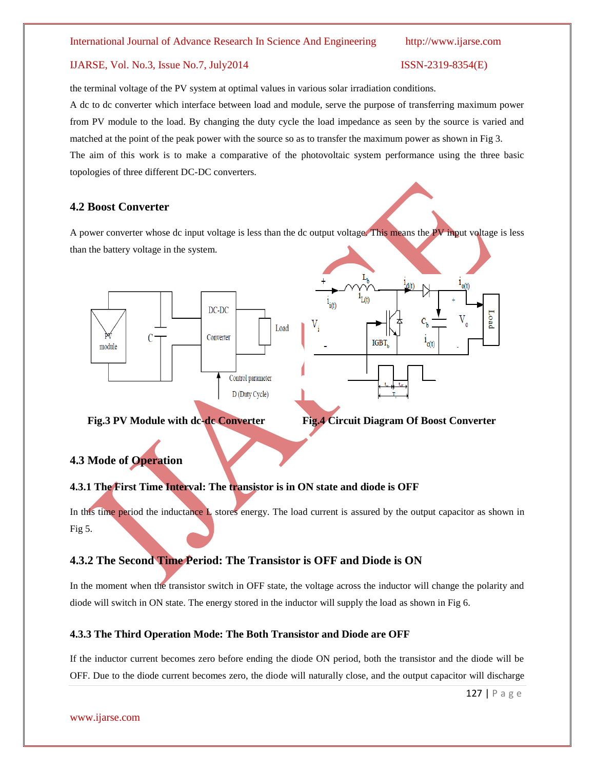# IJARSE, Vol. No.3, Issue No.7, July2014 ISSN-2319-8354(E)

the terminal voltage of the PV system at optimal values in various solar irradiation conditions. A dc to dc converter which interface between load and module, serve the purpose of transferring maximum power from PV module to the load. By changing the duty cycle the load impedance as seen by the source is varied and matched at the point of the peak power with the source so as to transfer the maximum power as shown in Fig 3. The aim of this work is to make a comparative of the photovoltaic system performance using the three basic topologies of three different DC-DC converters.

# **4.2 Boost Converter**

A power converter whose dc input voltage is less than the dc output voltage. This means the PV input voltage is less than the battery voltage in the system.





**Fig.3 PV Module with dc-dc Converter Fig.4 Circuit Diagram Of Boost Converter**

# **4.3 Mode of Operation**

# **4.3.1 The First Time Interval: The transistor is in ON state and diode is OFF**

In this time period the inductance L stores energy. The load current is assured by the output capacitor as shown in Fig 5.

# **4.3.2 The Second Time Period: The Transistor is OFF and Diode is ON**

In the moment when the transistor switch in OFF state, the voltage across the inductor will change the polarity and diode will switch in ON state. The energy stored in the inductor will supply the load as shown in Fig 6.

# **4.3.3 The Third Operation Mode: The Both Transistor and Diode are OFF**

If the inductor current becomes zero before ending the diode ON period, both the transistor and the diode will be OFF. Due to the diode current becomes zero, the diode will naturally close, and the output capacitor will discharge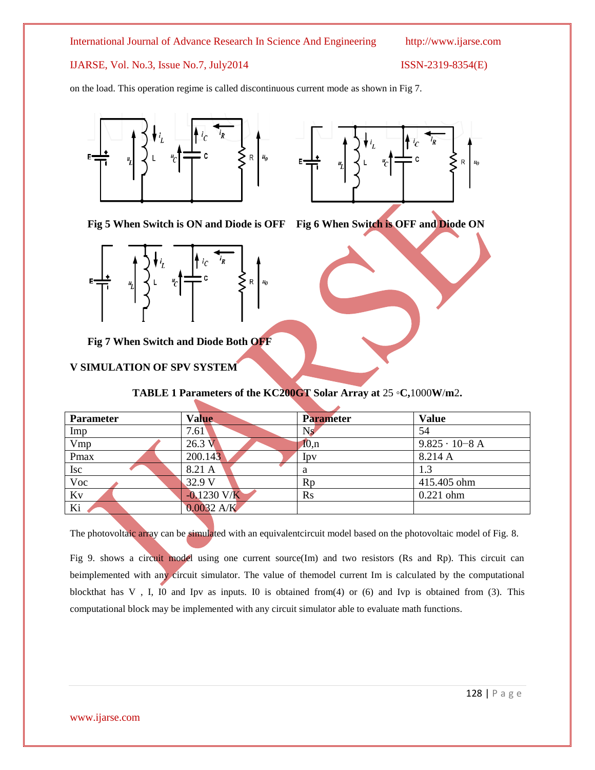IJARSE, Vol. No.3, Issue No.7, July2014 ISSN-2319-8354(E)

on the load. This operation regime is called discontinuous current mode as shown in Fig 7.



**Fig 5 When Switch is ON and Diode is OFF Fig 6 When Switch is OFF and Diode ON**



**Fig 7 When Switch and Diode Both OFF**

### **V SIMULATION OF SPV SYSTEM**

# **TABLE 1 Parameters of the KC200GT Solar Array at** 25 ◦**C,**1000**W**/**m**2**.**

| <b>Parameter</b> | <b>Value</b>  | <b>Parameter</b> | <b>Value</b>           |
|------------------|---------------|------------------|------------------------|
|                  |               |                  |                        |
| Imp              | 7.61          | Ns               | 54                     |
| Vmp              | 26.3 V        | $I_{0,n}$        | $9.825 \cdot 10 - 8$ A |
| Pmax             | 200.143       | Ipv              | 8.214 A                |
| <b>Isc</b>       | 8.21 A        | a                | 1.3                    |
| $\overline{Voc}$ | 32.9 V        | Rp               | 415.405 ohm            |
| Kv               | $-0.1230$ V/K | $\mathbf{R}$ s   | $0.221$ ohm            |
| Ki               | $0.0032$ A/K  |                  |                        |

The photovoltaic array can be simulated with an equivalentcircuit model based on the photovoltaic model of Fig. 8.

Fig 9. shows a circuit model using one current source(Im) and two resistors (Rs and Rp). This circuit can beimplemented with any circuit simulator. The value of themodel current Im is calculated by the computational blockthat has V , I, I0 and Ipv as inputs. I0 is obtained from(4) or (6) and Ivp is obtained from (3). This computational block may be implemented with any circuit simulator able to evaluate math functions.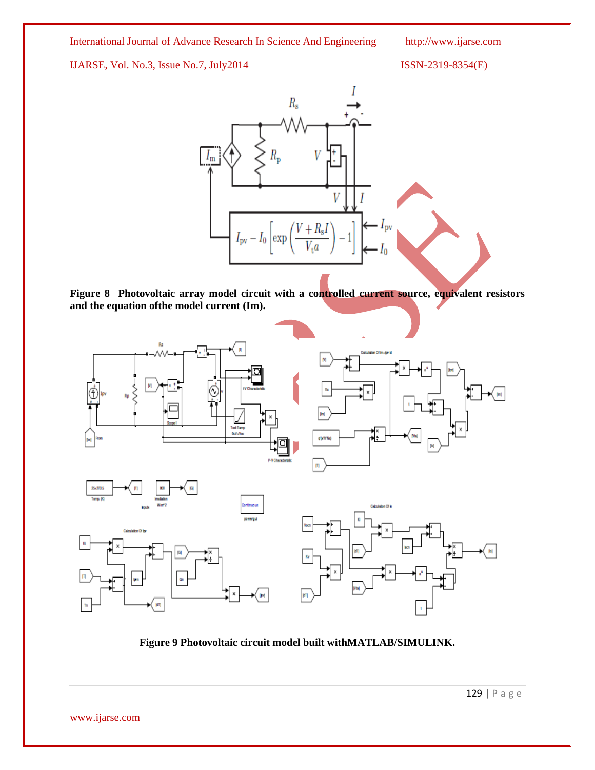# IJARSE, Vol. No.3, Issue No.7, July2014 ISSN-2319-8354(E)



**Figure 8 Photovoltaic array model circuit with a controlled current source, equivalent resistors and the equation ofthe model current (Im).**



**Figure 9 Photovoltaic circuit model built withMATLAB/SIMULINK.**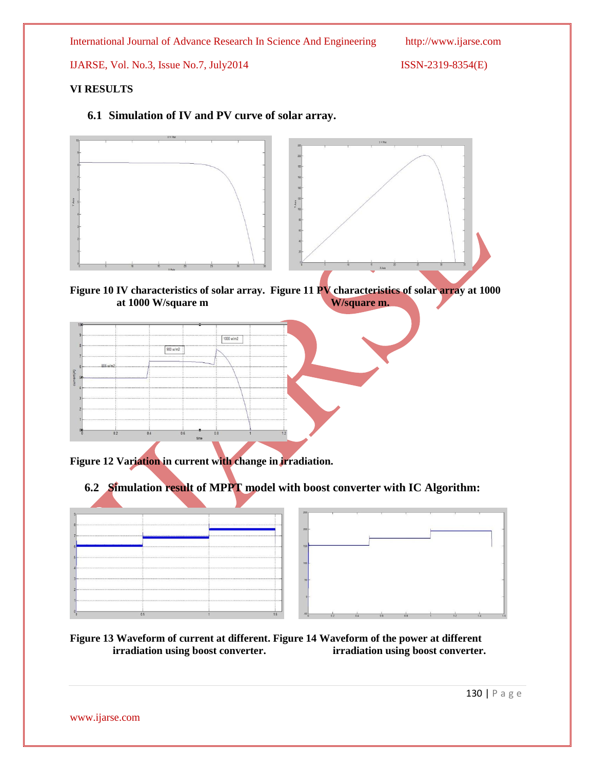IJARSE, Vol. No.3, Issue No.7, July2014 ISSN-2319-8354(E)

# **VI RESULTS**

**6.1 Simulation of IV and PV curve of solar array.**



**Figure 10 IV characteristics of solar array. Figure 11 PV characteristics of solar array at 1000 at 1000 W/square m. at 1000 W/square m W/square m.**

|     |                       | 1000 w/m2 |  |
|-----|-----------------------|-----------|--|
|     | 900 w/m2              |           |  |
|     |                       |           |  |
|     |                       |           |  |
|     |                       |           |  |
|     |                       |           |  |
| 0.2 | 0.6<br>0 <sub>A</sub> |           |  |
|     |                       | time      |  |

**Figure 12 Variation in current with change in irradiation.**

# **6.2 Simulation result of MPPT model with boost converter with IC Algorithm:**



**Figure 13 Waveform of current at different. Figure 14 Waveform of the power at different irradiation using boost converter. irradiation using boost converter.**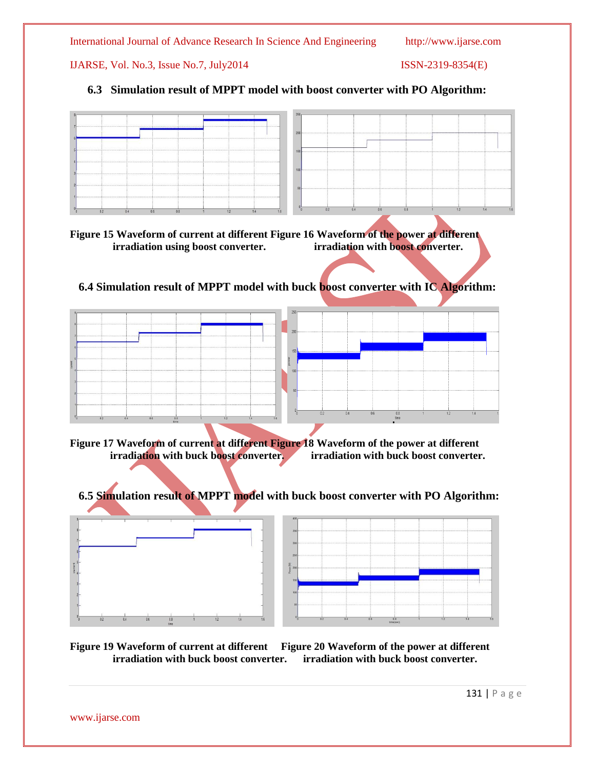IJARSE, Vol. No.3, Issue No.7, July2014 ISSN-2319-8354(E)

# **6.3 Simulation result of MPPT model with boost converter with PO Algorithm:**

| 0.2<br>0.4<br>1.4<br>0.6 |  |
|--------------------------|--|

**Figure 15 Waveform of current at different Figure 16 Waveform of the power at different irradiation using boost converter. irradiation with boost converter.** 

 **6.4 Simulation result of MPPT model with buck boost converter with IC Algorithm:**



**Figure 17 Waveform of current at different Figure 18 Waveform of the power at different irradiation with buck boost converter. irradiation with buck boost converter.** 

 **6.5 Simulation result of MPPT model with buck boost converter with PO Algorithm:**





**Figure 19 Waveform of current at different Figure 20 Waveform of the power at different irradiation with buck boost converter. irradiation with buck boost converter.** 

131 | P a g e

www.ijarse.com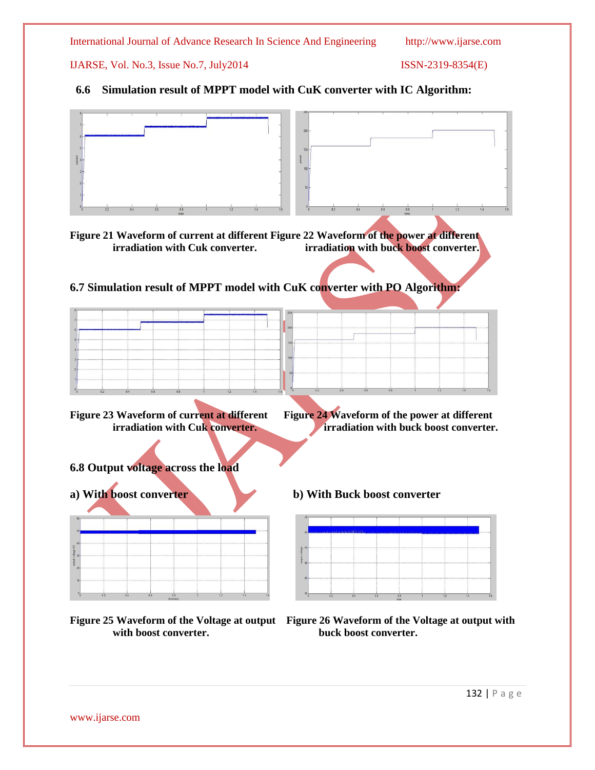IJARSE, Vol. No.3, Issue No.7, July2014 ISSN-2319-8354(E)

# **6.6 Simulation result of MPPT model with CuK converter with IC Algorithm:**





# **6.7 Simulation result of MPPT model with CuK converter with PO Algorithm:**

| 0.2 |  |  |  |  | 0.2 | 0.4 | 0.6 |  |  |  |
|-----|--|--|--|--|-----|-----|-----|--|--|--|

**Figure 23 Waveform of current at different Figure 24 Waveform of the power at different irradiation with Cuk converter.** *irradiation with buck boost converter.* 

# **6.8 Output voltage across the load**





with boost converter. **buck boost converter.** 



**Figure 25 Waveform of the Voltage at output Figure 26 Waveform of the Voltage at output with**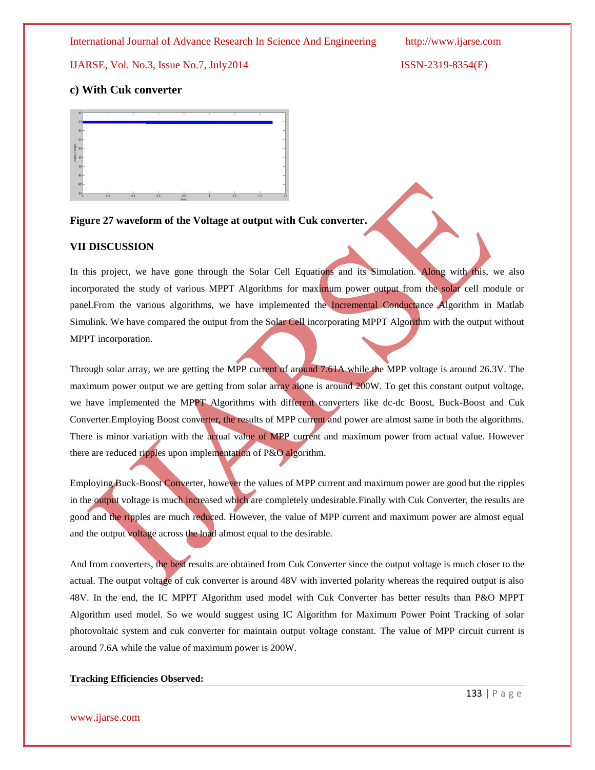IJARSE, Vol. No.3, Issue No.7, July2014 ISSN-2319-8354(E)

# **c) With Cuk converter**



## **Figure 27 waveform of the Voltage at output with Cuk converter.**

### **VII DISCUSSION**

In this project, we have gone through the Solar Cell Equations and its Simulation. Along with this, we also incorporated the study of various MPPT Algorithms for maximum power output from the solar cell module or panel.From the various algorithms, we have implemented the Incremental Conductance Algorithm in Matlab Simulink. We have compared the output from the Solar Cell incorporating MPPT Algorithm with the output without MPPT incorporation.

Through solar array, we are getting the MPP current of around 7.61A while the MPP voltage is around 26.3V. The maximum power output we are getting from solar array alone is around 200W. To get this constant output voltage, we have implemented the MPPT Algorithms with different converters like dc-dc Boost, Buck-Boost and Cuk Converter.Employing Boost converter, the results of MPP current and power are almost same in both the algorithms. There is minor variation with the actual value of MPP current and maximum power from actual value. However there are reduced ripples upon implementation of P&O algorithm.

Employing Buck-Boost Converter, however the values of MPP current and maximum power are good but the ripples in the output voltage is much increased which are completely undesirable.Finally with Cuk Converter, the results are good and the ripples are much reduced. However, the value of MPP current and maximum power are almost equal and the output voltage across the load almost equal to the desirable.

And from converters, the best results are obtained from Cuk Converter since the output voltage is much closer to the actual. The output voltage of cuk converter is around 48V with inverted polarity whereas the required output is also 48V. In the end, the IC MPPT Algorithm used model with Cuk Converter has better results than P&O MPPT Algorithm used model. So we would suggest using IC Algorithm for Maximum Power Point Tracking of solar photovoltaic system and cuk converter for maintain output voltage constant. The value of MPP circuit current is around 7.6A while the value of maximum power is 200W.

### **Tracking Efficiencies Observed:**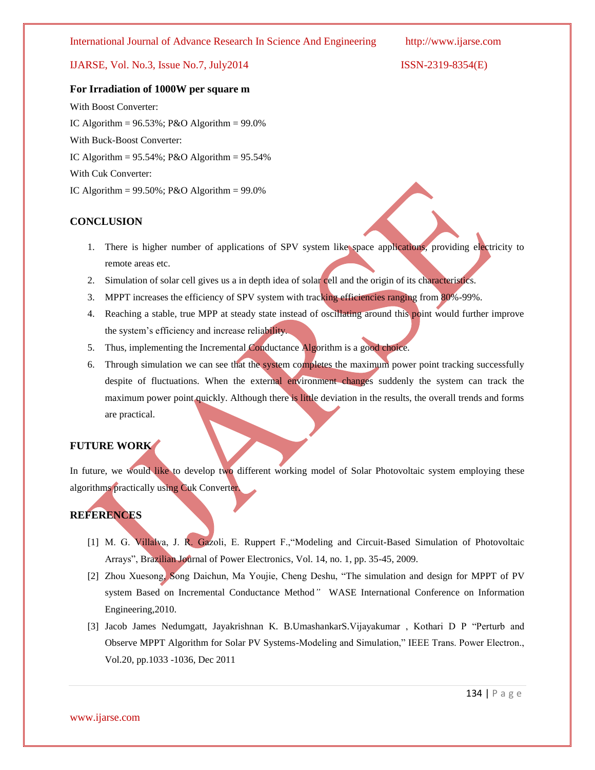# IJARSE, Vol. No.3, Issue No.7, July2014 ISSN-2319-8354(E)

### **For Irradiation of 1000W per square m**

With Boost Converter: IC Algorithm =  $96.53\%$ ; P&O Algorithm =  $99.0\%$ With Buck-Boost Converter: IC Algorithm =  $95.54\%$ ; P&O Algorithm =  $95.54\%$ With Cuk Converter: IC Algorithm =  $99.50\%$ ; P&O Algorithm =  $99.0\%$ 

### **CONCLUSION**

- 1. There is higher number of applications of SPV system like space applications, providing electricity to remote areas etc.
- 2. Simulation of solar cell gives us a in depth idea of solar cell and the origin of its characteristics.
- 3. MPPT increases the efficiency of SPV system with tracking efficiencies ranging from 80%-99%.
- 4. Reaching a stable, true MPP at steady state instead of oscillating around this point would further improve the system's efficiency and increase reliability.
- 5. Thus, implementing the Incremental Conductance Algorithm is a good choice.
- 6. Through simulation we can see that the system completes the maximum power point tracking successfully despite of fluctuations. When the external environment changes suddenly the system can track the maximum power point quickly. Although there is little deviation in the results, the overall trends and forms are practical.

# **FUTURE WORK**

In future, we would like to develop two different working model of Solar Photovoltaic system employing these algorithms practically using Cuk Converter.

# **REFERENCES**

- [1] M. G. Villalva, J. R. Gazoli, E. Ruppert F.,"Modeling and Circuit-Based Simulation of Photovoltaic Arrays", Brazilian Journal of Power Electronics, Vol. 14, no. 1, pp. 35-45, 2009.
- [2] Zhou Xuesong, Song Daichun, Ma Youjie, Cheng Deshu, "The simulation and design for MPPT of PV system Based on Incremental Conductance Method*"* WASE International Conference on Information Engineering,2010.
- [3] Jacob James Nedumgatt, Jayakrishnan K. B.UmashankarS.Vijayakumar , Kothari D P "Perturb and Observe MPPT Algorithm for Solar PV Systems-Modeling and Simulation," IEEE Trans. Power Electron., Vol.20, pp.1033 -1036, Dec 2011